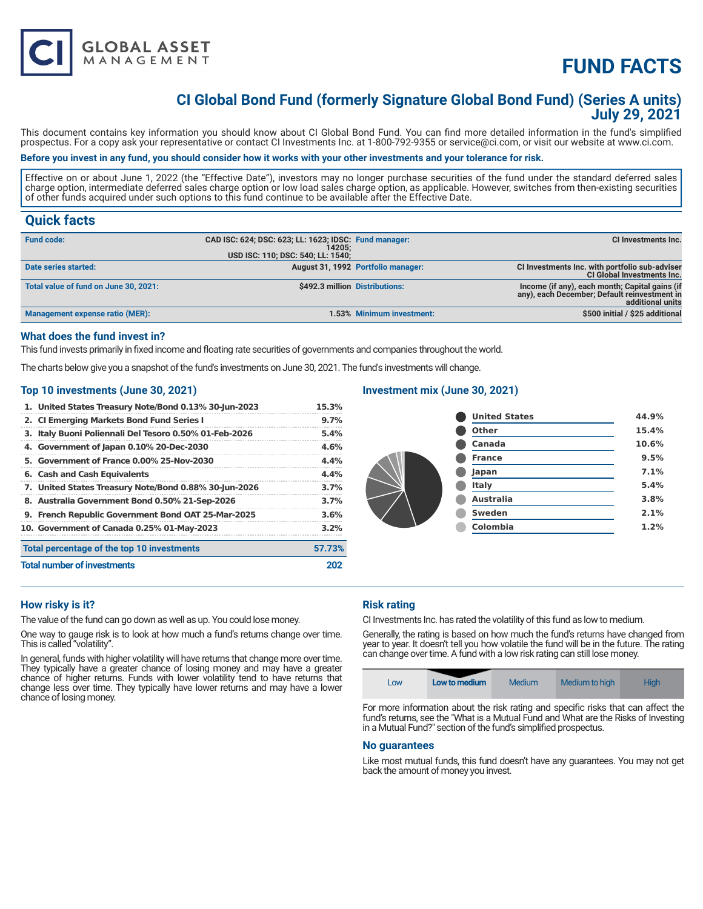

# **CI Global Bond Fund (formerly Signature Global Bond Fund) (Series A units) July 29, 2021**

This document contains key information you should know about CI Global Bond Fund. You can find more detailed information in the fund's simplified prospectus. For a copy ask your representative or contact CI Investments Inc. at 1-800-792-9355 or service@ci.com, or visit our website at www.ci.com.

# **Before you invest in any fund, you should consider how it works with your other investments and your tolerance for risk.**

Effective on or about June 1, 2022 (the "Effective Date"), investors may no longer purchase securities of the fund under the standard deferred sales charge option, intermediate deferred sales charge option or low load sales charge option, as applicable. However, switches from then-existing securities of other funds acquired under such options to this fund continue to be available after the Effective Date.

# **Quick facts**

| <b>Fund code:</b>                      | CAD ISC: 624; DSC: 623; LL: 1623; IDSC: Fund manager:<br>14205:<br>USD ISC: 110; DSC: 540; LL: 1540; |                                    | CI Investments Inc.                                                                                                |
|----------------------------------------|------------------------------------------------------------------------------------------------------|------------------------------------|--------------------------------------------------------------------------------------------------------------------|
| Date series started:                   |                                                                                                      | August 31, 1992 Portfolio manager: | CI Investments Inc. with portfolio sub-adviser<br><b>CI Global Investments Inc.</b>                                |
| Total value of fund on June 30, 2021:  | \$492.3 million Distributions:                                                                       |                                    | Income (if any), each month; Capital gains (if<br>any), each December; Default reinvestment in<br>additional units |
| <b>Management expense ratio (MER):</b> |                                                                                                      | 1.53% Minimum investment:          | \$500 initial / \$25 additional                                                                                    |

## **What does the fund invest in?**

This fund invests primarily in fixed income and floating rate securities of governments and companies throughout the world.

The charts below give you a snapshot of the fund's investments on June 30, 2021. The fund's investments will change.

### **Top 10 investments (June 30, 2021)**

**GLOBAL ASSET**<br>MANAGEMENT

| 1. United States Treasury Note/Bond 0.13% 30-Jun-2023  | 15.3%   |
|--------------------------------------------------------|---------|
| 2. CI Emerging Markets Bond Fund Series I              | $9.7\%$ |
| 3. Italy Buoni Poliennali Del Tesoro 0.50% 01-Feb-2026 | 5.4%    |
| 4. Government of Japan 0.10% 20-Dec-2030               | 4.6%    |
| 5. Government of France 0.00% 25-Nov-2030              | 4.4%    |
| 6. Cash and Cash Equivalents                           | 4.4%    |
| 7. United States Treasury Note/Bond 0.88% 30-Jun-2026  | 3.7%    |
| 8. Australia Government Bond 0.50% 21-Sep-2026         | 3.7%    |
| 9. French Republic Government Bond OAT 25-Mar-2025     | 3.6%    |
| 10. Government of Canada 0.25% 01-May-2023             | 3.2%    |
| Total percentage of the top 10 investments             | 57.73%  |
| <b>Total number of investments</b>                     | 202     |

# **Investment mix (June 30, 2021)**

| <b>United States</b> | 44.9% |
|----------------------|-------|
| <b>Other</b>         | 15.4% |
| Canada               | 10.6% |
| <b>France</b>        | 9.5%  |
| Japan                | 7.1%  |
| Italy                | 5.4%  |
| <b>Australia</b>     | 3.8%  |
| Sweden               | 2.1%  |
| <b>Colombia</b>      | 1.2%  |
|                      |       |

# **How risky is it?**

The value of the fund can go down as well as up. You could lose money.

One way to gauge risk is to look at how much a fund's returns change over time. This is called "volatility".

In general, funds with higher volatility will have returns that change more over time. They typically have a greater chance of losing money and may have a greater chance of higher returns. Funds with lower volatility tend to have returns that change less over time. They typically have lower returns and may have a lower chance of losing money.

# **Risk rating**

CI Investments Inc. has rated the volatility of this fund as low to medium.

Generally, the rating is based on how much the fund's returns have changed from year to year. It doesn't tell you how volatile the fund will be in the future. The rating can change over time. A fund with a low risk rating can still lose money.



For more information about the risk rating and specific risks that can affect the fund's returns, see the "What is a Mutual Fund and What are the Risks of Investing in a Mutual Fund?" section of the fund's simplified prospectus.

#### **No guarantees**

Like most mutual funds, this fund doesn't have any guarantees. You may not get back the amount of money you invest.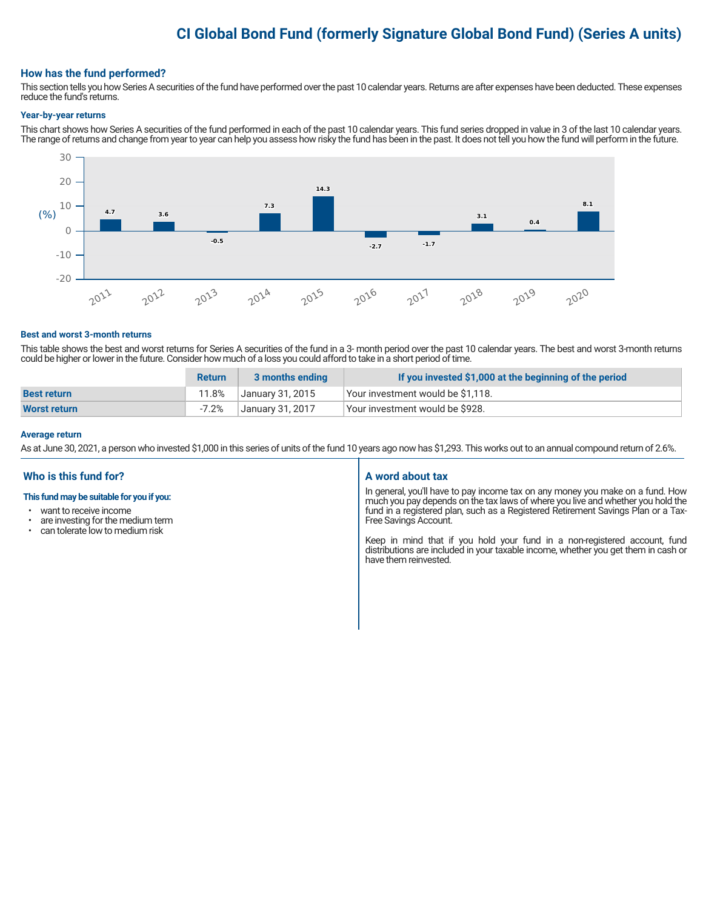# **CI Global Bond Fund (formerly Signature Global Bond Fund) (Series A units)**

## **How has the fund performed?**

This section tells you how Series A securities of the fund have performed over the past 10 calendar years. Returns are after expenses have been deducted. These expenses reduce the fund's returns.

#### **Year-by-year returns**

This chart shows how Series A securities of the fund performed in each of the past 10 calendar years. This fund series dropped in value in 3 of the last 10 calendar years. The range of returns and change from year to year can help you assess how risky the fund has been in the past. It does not tell you how the fund will perform in the future.



#### **Best and worst 3-month returns**

This table shows the best and worst returns for Series A securities of the fund in a 3- month period over the past 10 calendar years. The best and worst 3-month returns could be higher or lower in the future. Consider how much of a loss you could afford to take in a short period of time.

|                     | <b>Return</b> | 3 months ending  | If you invested \$1,000 at the beginning of the period |
|---------------------|---------------|------------------|--------------------------------------------------------|
| <b>Best return</b>  | 11.8%         | January 31, 2015 | Your investment would be \$1,118.                      |
| <b>Worst return</b> | $-7.2%$       | Januarv 31. 2017 | Your investment would be \$928.                        |

#### **Average return**

As at June 30, 2021, a person who invested \$1,000 in this series of units of the fund 10 years ago now has \$1,293. This works out to an annual compound return of 2.6%.

## **Who is this fund for?**

#### **This fund may be suitable for you if you:**

- want to receive income
- are investing for the medium term<br>• can telerate low to medium risk
- can tolerate low to medium risk

#### **A word about tax**

In general, you'll have to pay income tax on any money you make on a fund. How much you pay depends on the tax laws of where you live and whether you hold the fund in a registered plan, such as a Registered Retirement Savings Plan or a Tax-Free Savings Account.

Keep in mind that if you hold your fund in a non-registered account, fund distributions are included in your taxable income, whether you get them in cash or have them reinvested.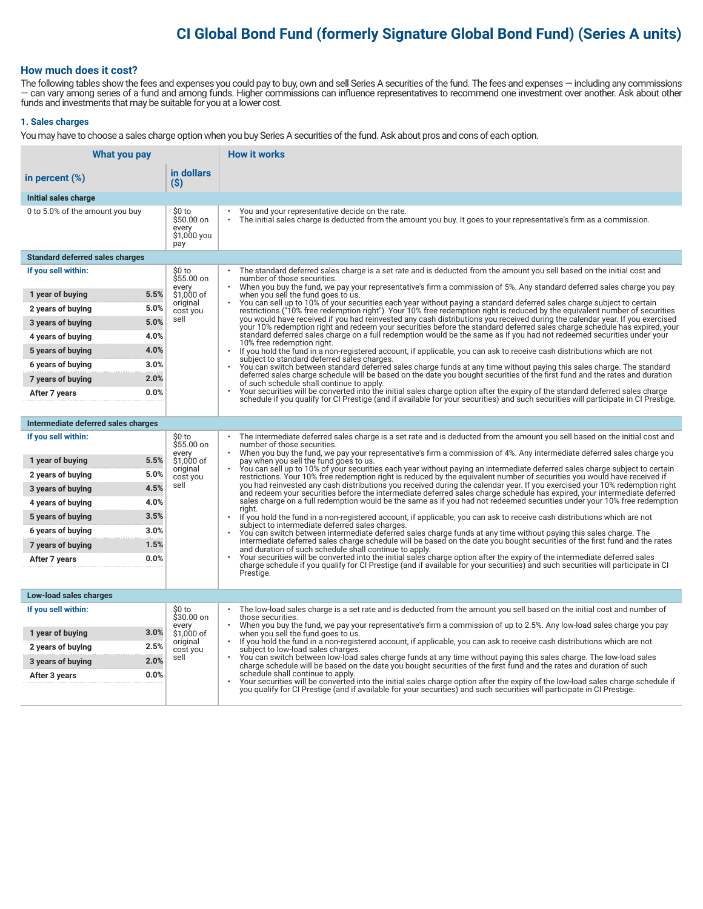# **CI Global Bond Fund (formerly Signature Global Bond Fund) (Series A units)**

# **How much does it cost?**

The following tables show the fees and expenses you could pay to buy, own and sell Series A securities of the fund. The fees and expenses — including any commissions — can vary among series of a fund and among funds. Higher commissions can influence representatives to recommend one investment over another. Ask about other funds and investments that may be suitable for you at a lower cost.

#### **1. Sales charges**

You may have to choose a sales charge option when you buy Series A securities of the fund. Ask about pros and cons of each option.

| What you pay                                  |                                                     | <b>How it works</b>                                                                                                                                                                                                                                                                                                             |
|-----------------------------------------------|-----------------------------------------------------|---------------------------------------------------------------------------------------------------------------------------------------------------------------------------------------------------------------------------------------------------------------------------------------------------------------------------------|
| in percent $(\%)$                             | in dollars<br>(S)                                   |                                                                                                                                                                                                                                                                                                                                 |
| Initial sales charge                          |                                                     |                                                                                                                                                                                                                                                                                                                                 |
| 0 to 5.0% of the amount you buy               | \$0 to<br>\$50.00 on<br>every<br>\$1,000 you<br>pay | You and your representative decide on the rate.<br>The initial sales charge is deducted from the amount you buy. It goes to your representative's firm as a commission.                                                                                                                                                         |
| <b>Standard deferred sales charges</b>        |                                                     |                                                                                                                                                                                                                                                                                                                                 |
| If you sell within:                           | \$0 to<br>\$55.00 on<br>every                       | The standard deferred sales charge is a set rate and is deducted from the amount you sell based on the initial cost and<br>number of those securities.<br>When you buy the fund, we pay your representative's firm a commission of 5%. Any standard deferred sales charge you pay                                               |
| 5.5%<br>1 year of buying                      | \$1,000 of                                          | when you sell the fund goes to us.                                                                                                                                                                                                                                                                                              |
| 5.0%<br>2 years of buying                     | original<br>cost you                                | You can sell up to 10% of your securities each year without paying a standard deferred sales charge subject to certain<br>restrictions ("10% free redemption right"). Your 10% free redemption right is reduced by the equivalent number of securities                                                                          |
| 5.0%<br>3 years of buying                     | sell                                                | you would have received if you had reinvested any cash distributions you received during the calendar year. If you exercised<br>your 10% redemption right and redeem your securities before the standard deferred sales charge schedule has expired, your                                                                       |
| 4.0%<br>4 years of buying                     |                                                     | standard deferred sales charge on a full redemption would be the same as if you had not redeemed securities under your<br>10% free redemption right.                                                                                                                                                                            |
| 4.0%<br>5 years of buying                     |                                                     | $\bullet$<br>If you hold the fund in a non-registered account, if applicable, you can ask to receive cash distributions which are not<br>subject to standard deferred sales charges.                                                                                                                                            |
| 3.0%<br>6 years of buying                     |                                                     | You can switch between standard deferred sales charge funds at any time without paying this sales charge. The standard                                                                                                                                                                                                          |
| 2.0%<br>7 years of buying                     |                                                     | deferred sales charge schedule will be based on the date you bought securities of the first fund and the rates and duration<br>of such schedule shall continue to apply.                                                                                                                                                        |
| 0.0%<br>After 7 years                         |                                                     | Your securities will be converted into the initial sales charge option after the expiry of the standard deferred sales charge<br>schedule if you qualify for CI Prestige (and if available for your securities) and such securities will participate in CI Prestige.                                                            |
|                                               |                                                     |                                                                                                                                                                                                                                                                                                                                 |
| Intermediate deferred sales charges           |                                                     |                                                                                                                                                                                                                                                                                                                                 |
| If you sell within:                           | \$0 to<br>\$55.00 on<br>every                       | The intermediate deferred sales charge is a set rate and is deducted from the amount you sell based on the initial cost and<br>number of those securities.<br>When you buy the fund, we pay your representative's firm a commission of 4%. Any intermediate deferred sales charge you<br>pay when you sell the fund goes to us. |
| 5.5%<br>1 year of buying                      | \$1.000 of<br>original                              |                                                                                                                                                                                                                                                                                                                                 |
| 5.0%<br>2 years of buying                     | cost you                                            | You can sell up to 10% of your securities each year without paying an intermediate deferred sales charge subject to certain<br>restrictions. Your 10% free redemption right is reduced by the equivalent number of securities you would have received if                                                                        |
| 4.5%<br>3 years of buying                     | sell                                                | you had reinvested any cash distributions you received during the calendar year. If you exercised your 10% redemption right<br>and redeem your securities before the intermediate deferred sales charge schedule has expired, your intermediate deferred                                                                        |
| 4.0%<br>4 years of buying                     |                                                     | sales charge on a full redemption would be the same as if you had not redeemed securities under your 10% free redemption<br>riaht.                                                                                                                                                                                              |
| 3.5%<br>5 years of buying                     |                                                     | If you hold the fund in a non-registered account, if applicable, you can ask to receive cash distributions which are not<br>subject to intermediate deferred sales charges.                                                                                                                                                     |
| 3.0%<br>6 years of buying                     |                                                     | You can switch between intermediate deferred sales charge funds at any time without paying this sales charge. The<br>intermediate deferred sales charge schedule will be based on the date you bought securities of the first fund and the rates                                                                                |
| 1.5%<br>7 years of buying                     |                                                     | and duration of such schedule shall continue to apply.                                                                                                                                                                                                                                                                          |
| 0.0%<br>After 7 years                         |                                                     | Your securities will be converted into the initial sales charge option after the expiry of the intermediate deferred sales<br>charge schedule if you qualify for CI Prestige (and if available for your securities) and such securities will participate in CI                                                                  |
|                                               |                                                     | Prestige.                                                                                                                                                                                                                                                                                                                       |
| Low-load sales charges                        |                                                     |                                                                                                                                                                                                                                                                                                                                 |
| If you sell within:                           | \$0 to<br>\$30.00 on                                | The low-load sales charge is a set rate and is deducted from the amount you sell based on the initial cost and number of<br>those securities.                                                                                                                                                                                   |
| 3.0%                                          | every<br>\$1,000 of                                 | When you buy the fund, we pay your representative's firm a commission of up to 2.5%. Any low-load sales charge you pay                                                                                                                                                                                                          |
| 1 year of buying<br>2.5%<br>2 years of buying | original                                            | when you sell the fund goes to us.<br>If you hold the fund in a non-registered account, if applicable, you can ask to receive cash distributions which are not                                                                                                                                                                  |
| 2.0%<br>3 years of buying                     | cost you<br>sell                                    | subject to low-load sales charges.<br>You can switch between low-load sales charge funds at any time without paying this sales charge. The low-load sales                                                                                                                                                                       |
| 0.0%<br>After 3 years                         |                                                     | charge schedule will be based on the date you bought securities of the first fund and the rates and duration of such<br>schedule shall continue to apply.                                                                                                                                                                       |
|                                               |                                                     | Your securities will be converted into the initial sales charge option after the expiry of the low-load sales charge schedule if<br>you qualify for CI Prestige (and if available for your securities) and such securities will participate in CI Prestige.                                                                     |